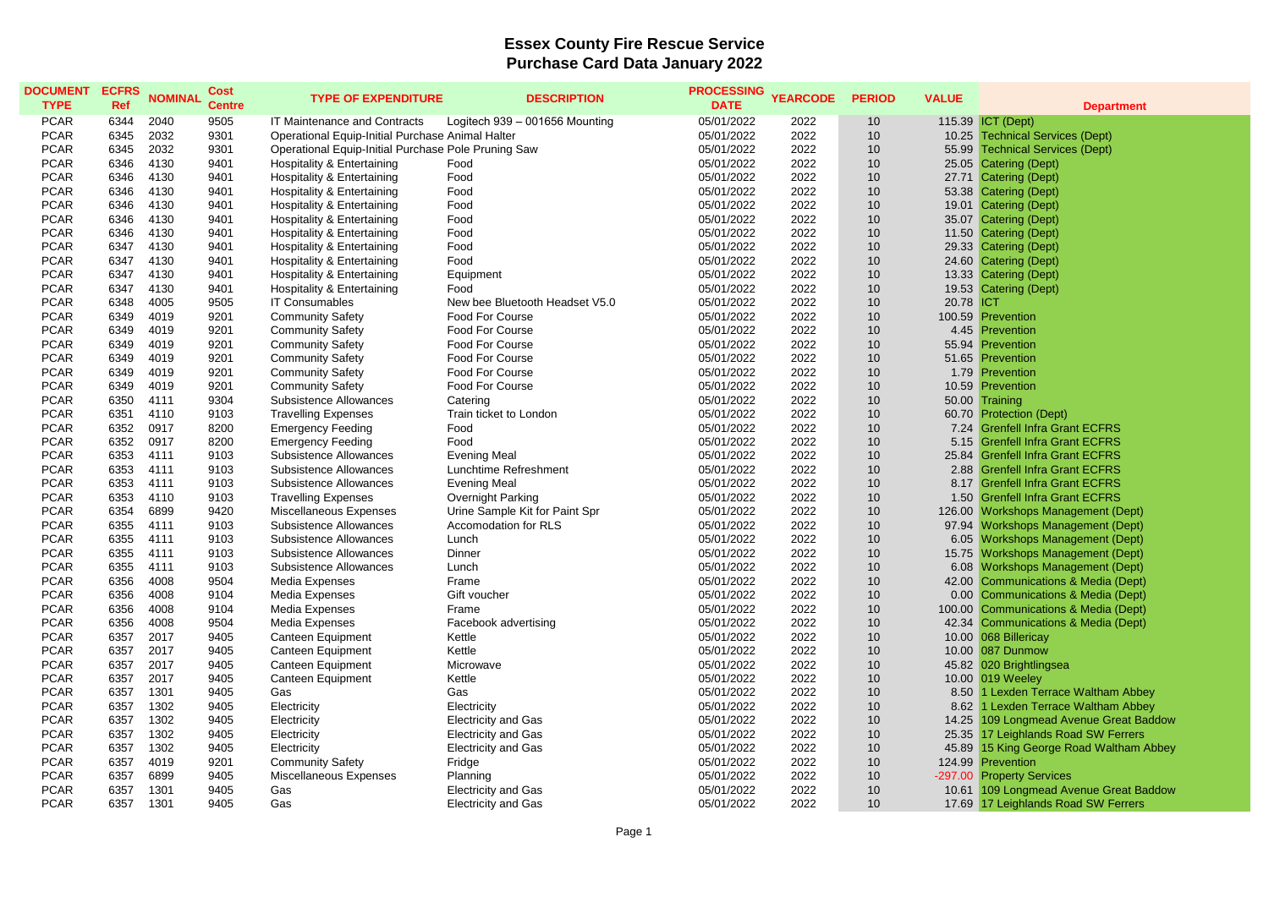## **Essex County Fire Rescue Service Purchase Card Data January 2022**

| <b>DOCUMENT</b><br><b>TYPE</b> | <b>ECFRS</b><br><b>Ref</b> | <b>NOMINAL</b> | <b>Cost</b><br><b>Centre</b> | <b>TYPE OF EXPENDITURE</b>                          | <b>DESCRIPTION</b>             | <b>PROCESSING</b><br><b>DATE</b> | <b>YEARCODE</b> | <b>PERIOD</b> | <b>VALUE</b> | <b>Department</b>                       |
|--------------------------------|----------------------------|----------------|------------------------------|-----------------------------------------------------|--------------------------------|----------------------------------|-----------------|---------------|--------------|-----------------------------------------|
| <b>PCAR</b>                    | 6344                       | 2040           | 9505                         | IT Maintenance and Contracts                        | Logitech 939 - 001656 Mounting | 05/01/2022                       | 2022            | 10            |              | 115.39 ICT (Dept)                       |
| <b>PCAR</b>                    | 6345                       | 2032           | 9301                         | Operational Equip-Initial Purchase Animal Halter    |                                | 05/01/2022                       | 2022            | 10            |              | 10.25 Technical Services (Dept)         |
| <b>PCAR</b>                    | 6345                       | 2032           | 9301                         | Operational Equip-Initial Purchase Pole Pruning Saw |                                | 05/01/2022                       | 2022            | 10            |              | 55.99 Technical Services (Dept)         |
| <b>PCAR</b>                    | 6346                       | 4130           | 9401                         | Hospitality & Entertaining                          | Food                           | 05/01/2022                       | 2022            | 10            |              | 25.05 Catering (Dept)                   |
| <b>PCAR</b>                    | 6346                       | 4130           | 9401                         | Hospitality & Entertaining                          | Food                           | 05/01/2022                       | 2022            | 10            |              | 27.71 Catering (Dept)                   |
| <b>PCAR</b>                    | 6346                       | 4130           | 9401                         | Hospitality & Entertaining                          | Food                           | 05/01/2022                       | 2022            | 10            |              | 53.38 Catering (Dept)                   |
| <b>PCAR</b>                    | 6346                       | 4130           | 9401                         | Hospitality & Entertaining                          | Food                           | 05/01/2022                       | 2022            | 10            |              | 19.01 Catering (Dept)                   |
| <b>PCAR</b>                    | 6346                       | 4130           | 9401                         | Hospitality & Entertaining                          | Food                           | 05/01/2022                       | 2022            | 10            |              | 35.07 Catering (Dept)                   |
| <b>PCAR</b>                    | 6346                       | 4130           | 9401                         | Hospitality & Entertaining                          | Food                           | 05/01/2022                       | 2022            | 10            |              | 11.50 Catering (Dept)                   |
| <b>PCAR</b>                    | 6347                       | 4130           | 9401                         | Hospitality & Entertaining                          | Food                           | 05/01/2022                       | 2022            | 10            |              | 29.33 Catering (Dept)                   |
| <b>PCAR</b>                    | 6347                       | 4130           | 9401                         | Hospitality & Entertaining                          | Food                           | 05/01/2022                       | 2022            | 10            |              | 24.60 Catering (Dept)                   |
| <b>PCAR</b>                    | 6347                       | 4130           | 9401                         | Hospitality & Entertaining                          | Equipment                      | 05/01/2022                       | 2022            | 10            |              | 13.33 Catering (Dept)                   |
| <b>PCAR</b>                    | 6347                       | 4130           | 9401                         | Hospitality & Entertaining                          | Food                           | 05/01/2022                       | 2022            | 10            |              | 19.53 Catering (Dept)                   |
| <b>PCAR</b>                    | 6348                       | 4005           | 9505                         | <b>IT Consumables</b>                               | New bee Bluetooth Headset V5.0 | 05/01/2022                       | 2022            | 10            | 20.78        | <b>ICT</b>                              |
| <b>PCAR</b>                    | 6349                       | 4019           | 9201                         | <b>Community Safety</b>                             | <b>Food For Course</b>         | 05/01/2022                       | 2022            | 10            |              | 100.59 Prevention                       |
| <b>PCAR</b>                    | 6349                       | 4019           | 9201                         | <b>Community Safety</b>                             | <b>Food For Course</b>         | 05/01/2022                       | 2022            | 10            |              | 4.45 Prevention                         |
| <b>PCAR</b>                    | 6349                       | 4019           | 9201                         | <b>Community Safety</b>                             | <b>Food For Course</b>         | 05/01/2022                       | 2022            | 10            | 55.94        | Prevention                              |
| <b>PCAR</b>                    | 6349                       | 4019           | 9201                         | <b>Community Safety</b>                             | <b>Food For Course</b>         | 05/01/2022                       | 2022            | 10            |              | 51.65 Prevention                        |
| <b>PCAR</b>                    | 6349                       | 4019           | 9201                         | <b>Community Safety</b>                             | <b>Food For Course</b>         | 05/01/2022                       | 2022            | 10            |              | 1.79 Prevention                         |
| <b>PCAR</b>                    | 6349                       | 4019           | 9201                         | <b>Community Safety</b>                             | Food For Course                | 05/01/2022                       | 2022            | 10            |              | 10.59 Prevention                        |
| <b>PCAR</b>                    | 6350                       | 4111           | 9304                         | Subsistence Allowances                              | Catering                       | 05/01/2022                       | 2022            | 10            |              | 50.00 Training                          |
| <b>PCAR</b>                    | 6351                       | 4110           | 9103                         | <b>Travelling Expenses</b>                          | Train ticket to London         | 05/01/2022                       | 2022            | 10            | 60.70        | <b>Protection (Dept)</b>                |
| <b>PCAR</b>                    | 6352                       | 0917           | 8200                         | <b>Emergency Feeding</b>                            | Food                           | 05/01/2022                       | 2022            | 10            | 7.24         | <b>Grenfell Infra Grant ECFRS</b>       |
| <b>PCAR</b>                    | 6352                       | 0917           | 8200                         | <b>Emergency Feeding</b>                            | Food                           | 05/01/2022                       | 2022            | 10            | 5.15         | <b>Grenfell Infra Grant ECFRS</b>       |
| <b>PCAR</b>                    | 6353                       | 4111           | 9103                         | Subsistence Allowances                              | <b>Evening Meal</b>            | 05/01/2022                       | 2022            | 10            | 25.84        | <b>Grenfell Infra Grant ECFRS</b>       |
| <b>PCAR</b>                    | 6353                       | 4111           | 9103                         | Subsistence Allowances                              | Lunchtime Refreshment          | 05/01/2022                       | 2022            | 10            |              | 2.88 Grenfell Infra Grant ECFRS         |
| <b>PCAR</b>                    | 6353                       | 4111           | 9103                         | Subsistence Allowances                              | <b>Evening Meal</b>            | 05/01/2022                       | 2022            | 10            |              | 8.17 Grenfell Infra Grant ECFRS         |
| <b>PCAR</b>                    | 6353                       | 4110           | 9103                         | <b>Travelling Expenses</b>                          | Overnight Parking              | 05/01/2022                       | 2022            | 10            |              | 1.50 Grenfell Infra Grant ECFRS         |
| <b>PCAR</b>                    | 6354                       | 6899           | 9420                         | Miscellaneous Expenses                              | Urine Sample Kit for Paint Spr | 05/01/2022                       | 2022            | 10            |              | 126.00 Workshops Management (Dept)      |
| <b>PCAR</b>                    | 6355                       | 4111           | 9103                         | Subsistence Allowances                              | Accomodation for RLS           | 05/01/2022                       | 2022            | 10            | 97.94        | <b>Workshops Management (Dept)</b>      |
| <b>PCAR</b>                    | 6355                       | 4111           | 9103                         | Subsistence Allowances                              | Lunch                          | 05/01/2022                       | 2022            | 10            |              | 6.05 Workshops Management (Dept)        |
| <b>PCAR</b>                    | 6355                       | 4111           | 9103                         | Subsistence Allowances                              | Dinner                         | 05/01/2022                       | 2022            | 10            |              | 15.75 Workshops Management (Dept)       |
| <b>PCAR</b>                    | 6355                       | 4111           | 9103                         | Subsistence Allowances                              | Lunch                          | 05/01/2022                       | 2022            | 10            |              | 6.08 Workshops Management (Dept)        |
| <b>PCAR</b>                    | 6356                       | 4008           | 9504                         | Media Expenses                                      | Frame                          | 05/01/2022                       | 2022            | 10            |              | 42.00 Communications & Media (Dept)     |
| <b>PCAR</b>                    | 6356                       | 4008           | 9104                         | Media Expenses                                      | Gift voucher                   | 05/01/2022                       | 2022            | 10            |              | 0.00 Communications & Media (Dept)      |
| <b>PCAR</b>                    | 6356                       | 4008           | 9104                         | Media Expenses                                      | Frame                          | 05/01/2022                       | 2022            | 10            |              | 100.00 Communications & Media (Dept)    |
| <b>PCAR</b>                    | 6356                       | 4008           | 9504                         | Media Expenses                                      | Facebook advertising           | 05/01/2022                       | 2022            | 10            |              | 42.34 Communications & Media (Dept)     |
| <b>PCAR</b>                    | 6357                       | 2017           | 9405                         | Canteen Equipment                                   | Kettle                         | 05/01/2022                       | 2022            | 10            |              | 10.00 068 Billericay                    |
| <b>PCAR</b>                    | 6357                       | 2017           | 9405                         | Canteen Equipment                                   | Kettle                         | 05/01/2022                       | 2022            | 10            |              | 10.00 087 Dunmow                        |
| <b>PCAR</b>                    | 6357                       | 2017           | 9405                         | Canteen Equipment                                   | Microwave                      | 05/01/2022                       | 2022            | 10            |              | 45.82 020 Brightlingsea                 |
| <b>PCAR</b>                    | 6357                       | 2017           | 9405                         | Canteen Equipment                                   | Kettle                         | 05/01/2022                       | 2022            | 10            |              | 10.00 019 Weeley                        |
| <b>PCAR</b>                    | 6357                       | 1301           | 9405                         | Gas                                                 | Gas                            | 05/01/2022                       | 2022            | 10            |              | 8.50 1 Lexden Terrace Waltham Abbey     |
| <b>PCAR</b>                    | 6357                       | 1302           | 9405                         | Electricity                                         | Electricity                    | 05/01/2022                       | 2022            | 10            | 8.62         | 1 Lexden Terrace Waltham Abbey          |
| <b>PCAR</b>                    | 6357                       | 1302           | 9405                         | Electricity                                         | <b>Electricity and Gas</b>     | 05/01/2022                       | 2022            | 10            | 14.25        | 109 Longmead Avenue Great Baddow        |
| <b>PCAR</b>                    | 6357                       | 1302           | 9405                         | Electricity                                         | <b>Electricity and Gas</b>     | 05/01/2022                       | 2022            | 10            |              | 25.35 17 Leighlands Road SW Ferrers     |
| <b>PCAR</b>                    | 6357                       | 1302           | 9405                         | Electricity                                         | <b>Electricity and Gas</b>     | 05/01/2022                       | 2022            | 10            |              | 45.89 15 King George Road Waltham Abbey |
| <b>PCAR</b>                    | 6357                       | 4019           | 9201                         | <b>Community Safety</b>                             | Fridge                         | 05/01/2022                       | 2022            | 10            | 124.99       | Prevention                              |
| <b>PCAR</b>                    | 6357                       | 6899           | 9405                         | Miscellaneous Expenses                              | Planning                       | 05/01/2022                       | 2022            | 10            | $-297.00$    | <b>Property Services</b>                |
| <b>PCAR</b>                    | 6357                       | 1301           | 9405                         | Gas                                                 | <b>Electricity and Gas</b>     | 05/01/2022                       | 2022            | 10            |              | 10.61 109 Longmead Avenue Great Baddow  |
| <b>PCAR</b>                    | 6357                       | 1301           | 9405                         | Gas                                                 | <b>Electricity and Gas</b>     | 05/01/2022                       | 2022            | 10            |              | 17.69 17 Leighlands Road SW Ferrers     |